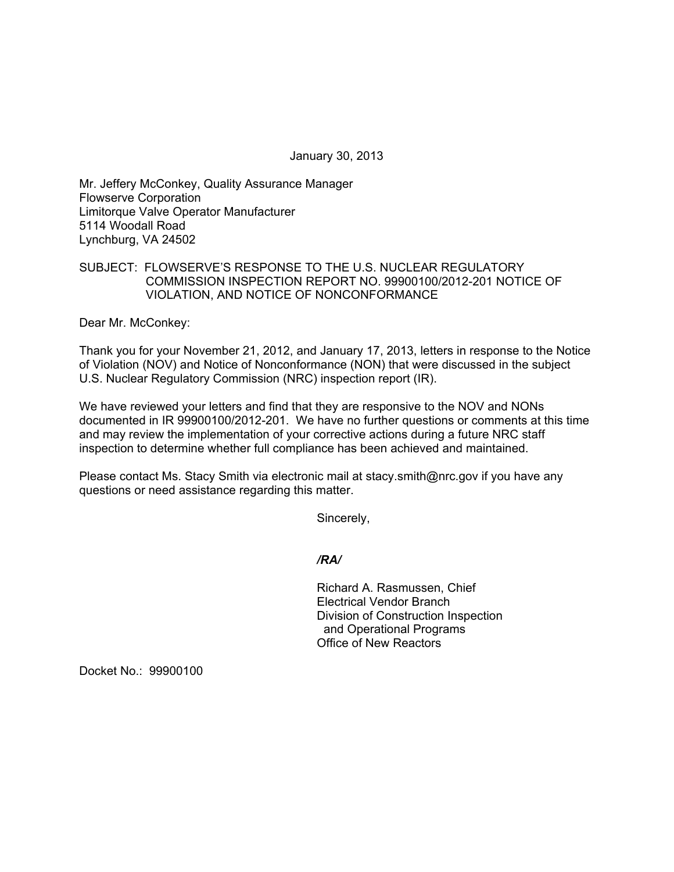January 30, 2013

Mr. Jeffery McConkey, Quality Assurance Manager Flowserve Corporation Limitorque Valve Operator Manufacturer 5114 Woodall Road Lynchburg, VA 24502

## SUBJECT: FLOWSERVE'S RESPONSE TO THE U.S. NUCLEAR REGULATORY COMMISSION INSPECTION REPORT NO. 99900100/2012-201 NOTICE OF VIOLATION, AND NOTICE OF NONCONFORMANCE

Dear Mr. McConkey:

Thank you for your November 21, 2012, and January 17, 2013, letters in response to the Notice of Violation (NOV) and Notice of Nonconformance (NON) that were discussed in the subject U.S. Nuclear Regulatory Commission (NRC) inspection report (IR).

We have reviewed your letters and find that they are responsive to the NOV and NONs documented in IR 99900100/2012-201. We have no further questions or comments at this time and may review the implementation of your corrective actions during a future NRC staff inspection to determine whether full compliance has been achieved and maintained.

Please contact Ms. Stacy Smith via electronic mail at stacy.smith@nrc.gov if you have any questions or need assistance regarding this matter.

Sincerely,

*/RA/* 

Richard A. Rasmussen, Chief Electrical Vendor Branch Division of Construction Inspection and Operational Programs Office of New Reactors

Docket No.: 99900100